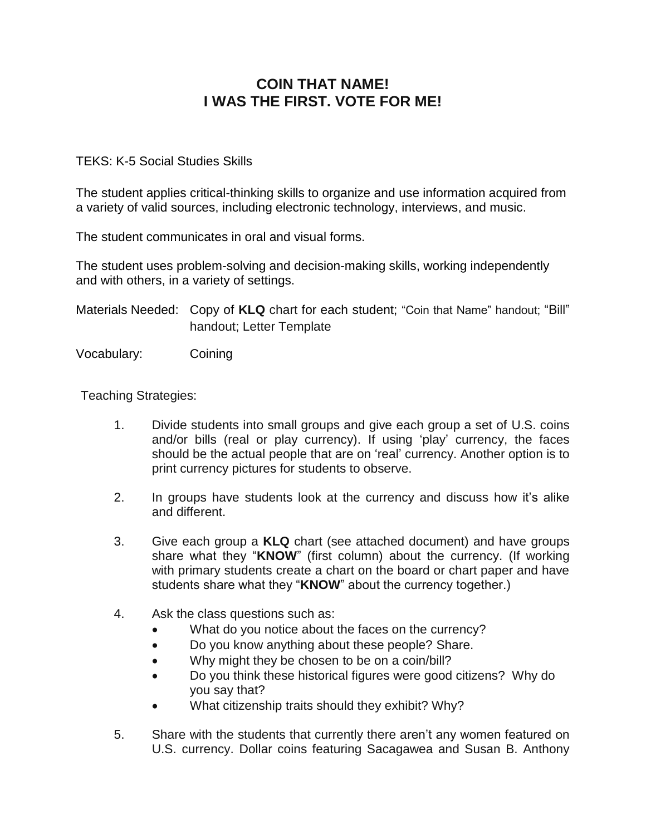## **COIN THAT NAME! I WAS THE FIRST. VOTE FOR ME!**

## TEKS: K-5 Social Studies Skills

The student applies critical-thinking skills to organize and use information acquired from a variety of valid sources, including electronic technology, interviews, and music.

The student communicates in oral and visual forms.

The student uses problem-solving and decision-making skills, working independently and with others, in a variety of settings.

Materials Needed: Copy of **KLQ** chart for each student; "Coin that Name" handout; "Bill" handout; Letter Template

Vocabulary: Coining

Teaching Strategies:

- 1. Divide students into small groups and give each group a set of U.S. coins and/or bills (real or play currency). If using 'play' currency, the faces should be the actual people that are on 'real' currency. Another option is to print currency pictures for students to observe.
- 2. In groups have students look at the currency and discuss how it's alike and different.
- 3. Give each group a **KLQ** chart (see attached document) and have groups share what they "**KNOW**" (first column) about the currency. (If working with primary students create a chart on the board or chart paper and have students share what they "**KNOW**" about the currency together.)
- 4. Ask the class questions such as:
	- What do you notice about the faces on the currency?
	- Do you know anything about these people? Share.
	- Why might they be chosen to be on a coin/bill?
	- Do you think these historical figures were good citizens? Why do you say that?
	- What citizenship traits should they exhibit? Why?
- 5. Share with the students that currently there aren't any women featured on U.S. currency. Dollar coins featuring Sacagawea and Susan B. Anthony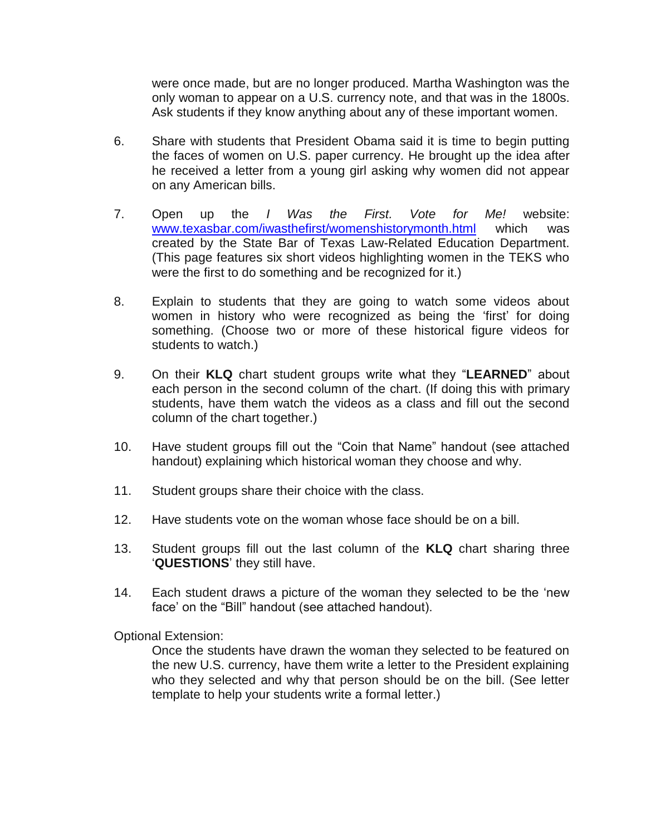were once made, but are no longer produced. Martha Washington was the only woman to appear on a U.S. currency note, and that was in the 1800s. Ask students if they know anything about any of these important women.

- 6. Share with students that President Obama said it is time to begin putting the faces of women on U.S. paper currency. He brought up the idea after he received a letter from a young girl asking why women did not appear on any American bills.
- 7. Open up the *I Was the First. Vote for Me!* website: [www.texasbar.com/iwasthefirst/womenshistorymonth.html](http://www.texasbar.com/iwasthefirst/womenshistorymonth.html) which was created by the State Bar of Texas Law-Related Education Department. (This page features six short videos highlighting women in the TEKS who were the first to do something and be recognized for it.)
- 8. Explain to students that they are going to watch some videos about women in history who were recognized as being the 'first' for doing something. (Choose two or more of these historical figure videos for students to watch.)
- 9. On their **KLQ** chart student groups write what they "**LEARNED**" about each person in the second column of the chart. (If doing this with primary students, have them watch the videos as a class and fill out the second column of the chart together.)
- 10. Have student groups fill out the "Coin that Name" handout (see attached handout) explaining which historical woman they choose and why.
- 11. Student groups share their choice with the class.
- 12. Have students vote on the woman whose face should be on a bill.
- 13. Student groups fill out the last column of the **KLQ** chart sharing three '**QUESTIONS**' they still have.
- 14. Each student draws a picture of the woman they selected to be the 'new face' on the "Bill" handout (see attached handout).

Optional Extension:

Once the students have drawn the woman they selected to be featured on the new U.S. currency, have them write a letter to the President explaining who they selected and why that person should be on the bill. (See letter template to help your students write a formal letter.)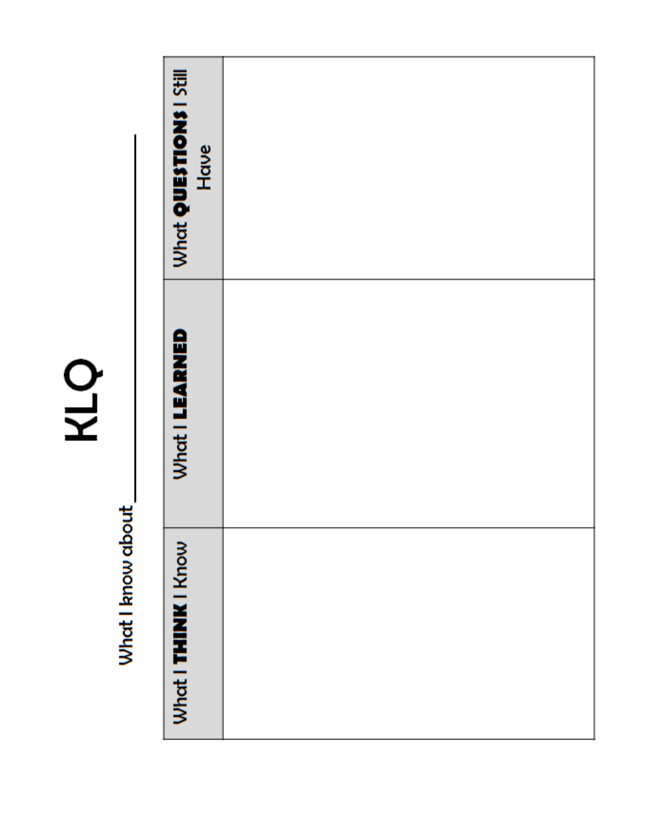KLQ

What I know about\_

| What QUESTIONS I Still<br>Have |  |
|--------------------------------|--|
| <b>What I LEARNED</b>          |  |
| What I THINK I Know            |  |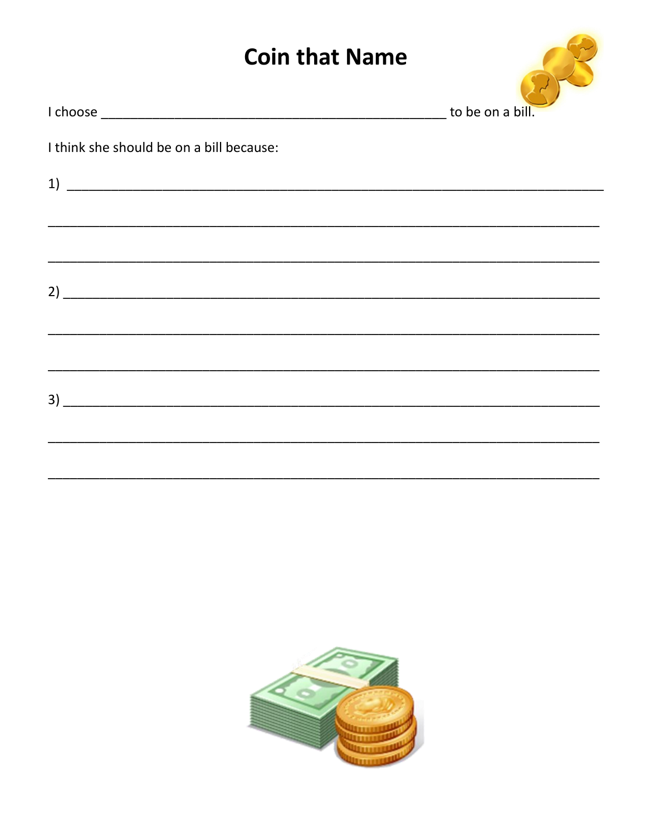## **Coin that Name**



|  |  |  | I think she should be on a bill because: |
|--|--|--|------------------------------------------|
|  |  |  |                                          |

| $\begin{tabular}{c} 1) \end{tabular}$ |  |  |
|---------------------------------------|--|--|
|                                       |  |  |
|                                       |  |  |
|                                       |  |  |
|                                       |  |  |
|                                       |  |  |
|                                       |  |  |
|                                       |  |  |
|                                       |  |  |

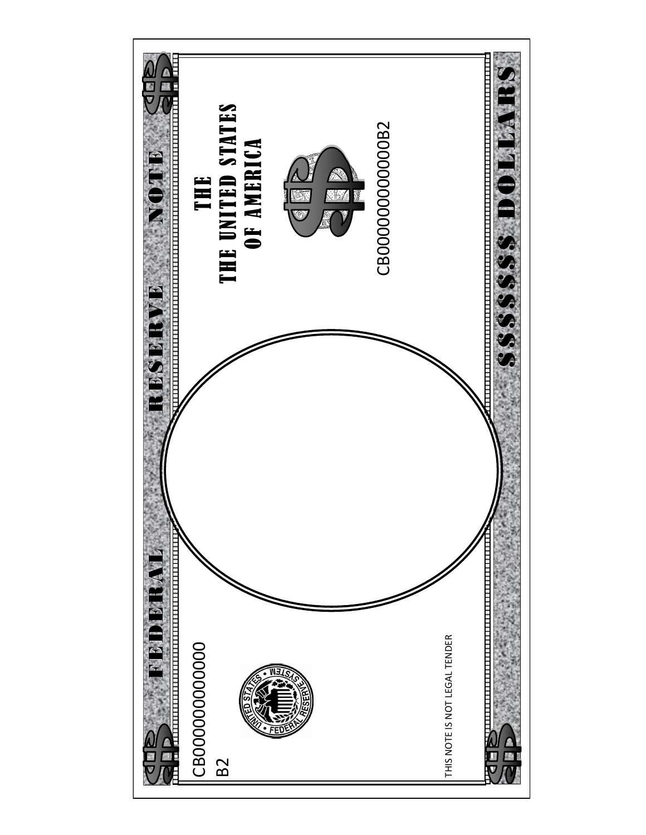